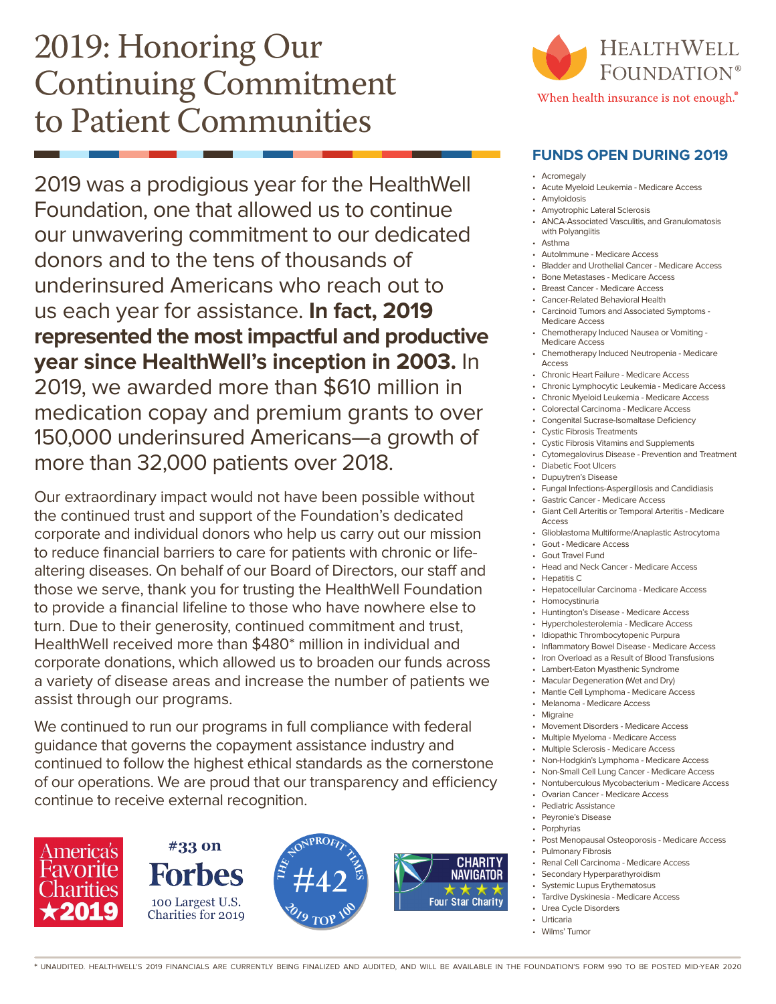## 2019: Honoring Our Continuing Commitment to Patient Communities

2019 was a prodigious year for the HealthWell Foundation, one that allowed us to continue our unwavering commitment to our dedicated donors and to the tens of thousands of underinsured Americans who reach out to us each year for assistance. **In fact, 2019 represented the most impactful and productive year since HealthWell's inception in 2003.** In 2019, we awarded more than \$610 million in medication copay and premium grants to over 150,000 underinsured Americans—a growth of more than 32,000 patients over 2018.

Our extraordinary impact would not have been possible without the continued trust and support of the Foundation's dedicated corporate and individual donors who help us carry out our mission to reduce financial barriers to care for patients with chronic or lifealtering diseases. On behalf of our Board of Directors, our staff and those we serve, thank you for trusting the HealthWell Foundation to provide a financial lifeline to those who have nowhere else to turn. Due to their generosity, continued commitment and trust, HealthWell received more than \$480\* million in individual and corporate donations, which allowed us to broaden our funds across a variety of disease areas and increase the number of patients we assist through our programs.

We continued to run our programs in full compliance with federal guidance that governs the copayment assistance industry and continued to follow the highest ethical standards as the cornerstone of our operations. We are proud that our transparency and efficiency continue to receive external recognition.



#33 on **Forbes** 100 Largest U.S. Charities for 2019







### **FUNDS OPEN DURING 2019**

- Acromegaly
- Acute Myeloid Leukemia Medicare Access
- Amyloidosis
- Amyotrophic Lateral Sclerosis
- ANCA-Associated Vasculitis, and Granulomatosis with Polyangiitis
- Asthma AutoImmune - Medicare Access
- Bladder and Urothelial Cancer Medicare Access
- Bone Metastases Medicare Access
- Breast Cancer Medicare Access
- Cancer-Related Behavioral Health
- Carcinoid Tumors and Associated Symptoms Medicare Access
- Chemotherapy Induced Nausea or Vomiting Medicare Access
- Chemotherapy Induced Neutropenia Medicare Access
- Chronic Heart Failure Medicare Access
- Chronic Lymphocytic Leukemia Medicare Access
- Chronic Myeloid Leukemia Medicare Access
- Colorectal Carcinoma Medicare Access • Congenital Sucrase-Isomaltase Deficiency
- Cystic Fibrosis Treatments
- Cystic Fibrosis Vitamins and Supplements
- Cytomegalovirus Disease Prevention and Treatment
- Diabetic Foot Ulcers
- Dupuytren's Disease
- Fungal Infections-Aspergillosis and Candidiasis
- Gastric Cancer Medicare Access
- Giant Cell Arteritis or Temporal Arteritis Medicare Access
- Glioblastoma Multiforme/Anaplastic Astrocytoma
- Gout Medicare Access
- Gout Travel Fund • Head and Neck Cancer - Medicare Access
- Hepatitis C
	- Hepatocellular Carcinoma Medicare Access
- Homocystinuria
- Huntington's Disease Medicare Access
- Hypercholesterolemia Medicare Access
- Idiopathic Thrombocytopenic Purpura
- Inflammatory Bowel Disease Medicare Access
- Iron Overload as a Result of Blood Transfusions
- Lambert-Eaton Myasthenic Syndrome
- Macular Degeneration (Wet and Dry)
- Mantle Cell Lymphoma Medicare Access
- Melanoma Medicare Access
- Migraine
- Movement Disorders Medicare Access
- Multiple Myeloma Medicare Access
- Multiple Sclerosis Medicare Access
- Non-Hodgkin's Lymphoma Medicare Access
- Non-Small Cell Lung Cancer Medicare Access
- Nontuberculous Mycobacterium Medicare Access
- Ovarian Cancer Medicare Access
- Pediatric Assistance
- Peyronie's Disease
- Porphyrias
	- Post Menopausal Osteoporosis Medicare Access
- Pulmonary Fibrosis
- Renal Cell Carcinoma Medicare Access
- Secondary Hyperparathyroidism
- Systemic Lupus Erythematosus
- Tardive Dyskinesia Medicare Access • Urea Cycle Disorders
- **Urticaria**
- Wilms' Tumor